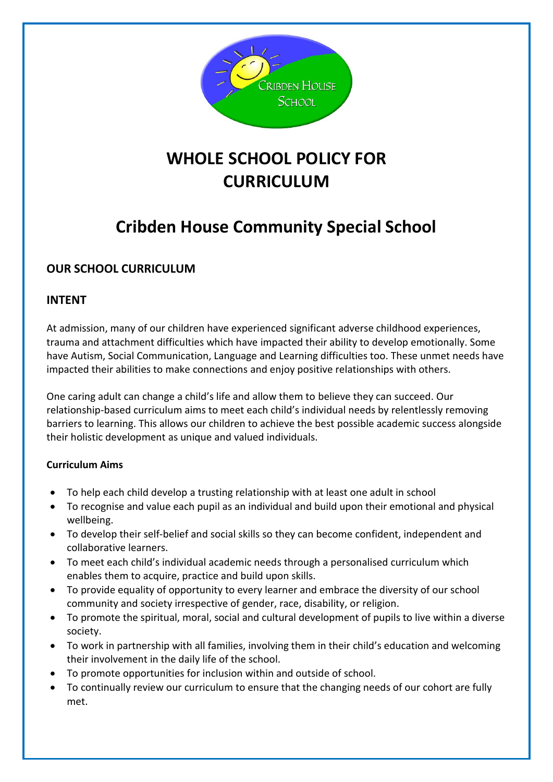

# **WHOLE SCHOOL POLICY FOR CURRICULUM**

# **Cribden House Community Special School**

## **OUR SCHOOL CURRICULUM**

### **INTENT**

At admission, many of our children have experienced significant adverse childhood experiences, trauma and attachment difficulties which have impacted their ability to develop emotionally. Some have Autism, Social Communication, Language and Learning difficulties too. These unmet needs have impacted their abilities to make connections and enjoy positive relationships with others.

One caring adult can change a child's life and allow them to believe they can succeed. Our relationship-based curriculum aims to meet each child's individual needs by relentlessly removing barriers to learning. This allows our children to achieve the best possible academic success alongside their holistic development as unique and valued individuals.

### **Curriculum Aims**

- To help each child develop a trusting relationship with at least one adult in school
- To recognise and value each pupil as an individual and build upon their emotional and physical wellbeing.
- To develop their self-belief and social skills so they can become confident, independent and collaborative learners.
- To meet each child's individual academic needs through a personalised curriculum which enables them to acquire, practice and build upon skills.
- To provide equality of opportunity to every learner and embrace the diversity of our school community and society irrespective of gender, race, disability, or religion.
- To promote the spiritual, moral, social and cultural development of pupils to live within a diverse society.
- To work in partnership with all families, involving them in their child's education and welcoming their involvement in the daily life of the school.
- To promote opportunities for inclusion within and outside of school.
- To continually review our curriculum to ensure that the changing needs of our cohort are fully met.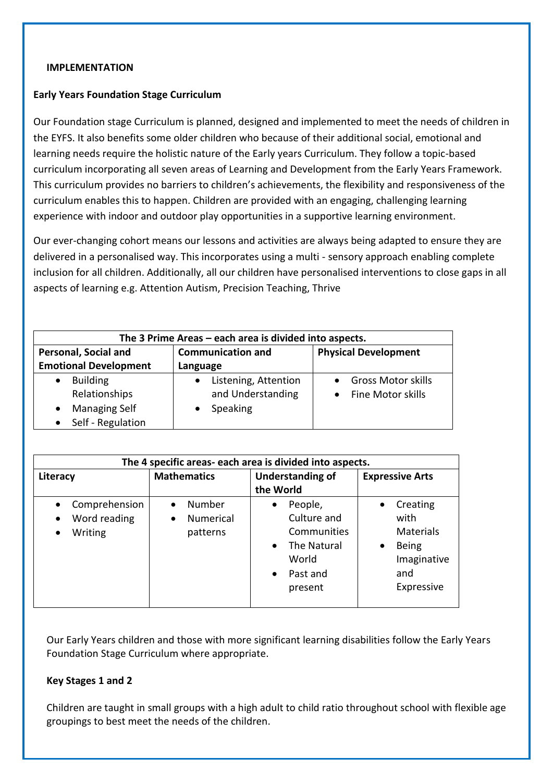#### **IMPLEMENTATION**

#### **Early Years Foundation Stage Curriculum**

Our Foundation stage Curriculum is planned, designed and implemented to meet the needs of children in the EYFS. It also benefits some older children who because of their additional social, emotional and learning needs require the holistic nature of the Early years Curriculum. They follow a topic-based curriculum incorporating all seven areas of Learning and Development from the Early Years Framework. This curriculum provides no barriers to children's achievements, the flexibility and responsiveness of the curriculum enables this to happen. Children are provided with an engaging, challenging learning experience with indoor and outdoor play opportunities in a supportive learning environment.

Our ever-changing cohort means our lessons and activities are always being adapted to ensure they are delivered in a personalised way. This incorporates using a multi - sensory approach enabling complete inclusion for all children. Additionally, all our children have personalised interventions to close gaps in all aspects of learning e.g. Attention Autism, Precision Teaching, Thrive

| The 3 Prime Areas - each area is divided into aspects.                        |                                                       |                                                |  |  |
|-------------------------------------------------------------------------------|-------------------------------------------------------|------------------------------------------------|--|--|
| Personal, Social and<br><b>Emotional Development</b>                          | <b>Communication and</b><br>Language                  | <b>Physical Development</b>                    |  |  |
| <b>Building</b><br>Relationships<br><b>Managing Self</b><br>Self - Regulation | Listening, Attention<br>and Understanding<br>Speaking | <b>Gross Motor skills</b><br>Fine Motor skills |  |  |

| The 4 specific areas- each area is divided into aspects.           |                                                     |                                                                                                                             |                                                                                                             |  |
|--------------------------------------------------------------------|-----------------------------------------------------|-----------------------------------------------------------------------------------------------------------------------------|-------------------------------------------------------------------------------------------------------------|--|
| Literacy                                                           | <b>Mathematics</b>                                  | <b>Understanding of</b><br>the World                                                                                        | <b>Expressive Arts</b>                                                                                      |  |
| Comprehension<br>Word reading<br>$\bullet$<br>Writing<br>$\bullet$ | Number<br><b>Numerical</b><br>$\bullet$<br>patterns | People,<br>$\bullet$<br>Culture and<br>Communities<br>The Natural<br>$\bullet$<br>World<br>Past and<br>$\bullet$<br>present | Creating<br>$\bullet$<br>with<br>Materials<br><b>Being</b><br>$\bullet$<br>Imaginative<br>and<br>Expressive |  |

Our Early Years children and those with more significant learning disabilities follow the Early Years Foundation Stage Curriculum where appropriate.

#### **Key Stages 1 and 2**

Children are taught in small groups with a high adult to child ratio throughout school with flexible age groupings to best meet the needs of the children.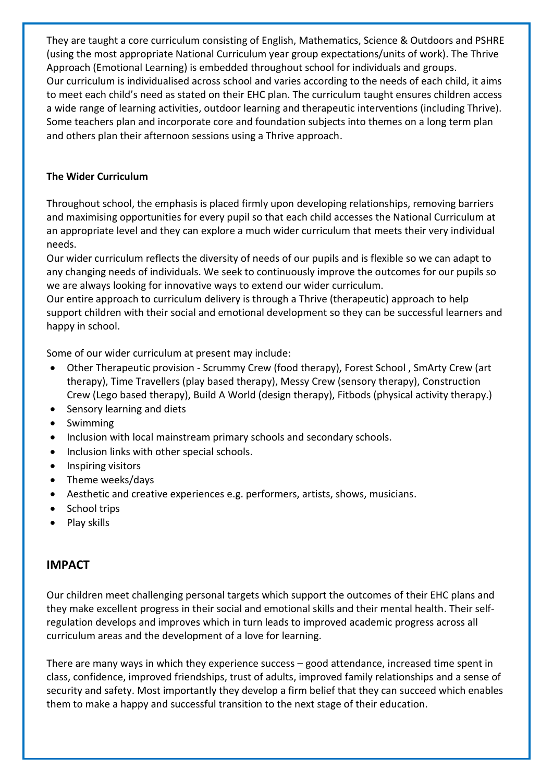They are taught a core curriculum consisting of English, Mathematics, Science & Outdoors and PSHRE (using the most appropriate National Curriculum year group expectations/units of work). The Thrive Approach (Emotional Learning) is embedded throughout school for individuals and groups. Our curriculum is individualised across school and varies according to the needs of each child, it aims to meet each child's need as stated on their EHC plan. The curriculum taught ensures children access a wide range of learning activities, outdoor learning and therapeutic interventions (including Thrive). Some teachers plan and incorporate core and foundation subjects into themes on a long term plan and others plan their afternoon sessions using a Thrive approach.

#### **The Wider Curriculum**

Throughout school, the emphasis is placed firmly upon developing relationships, removing barriers and maximising opportunities for every pupil so that each child accesses the National Curriculum at an appropriate level and they can explore a much wider curriculum that meets their very individual needs.

Our wider curriculum reflects the diversity of needs of our pupils and is flexible so we can adapt to any changing needs of individuals. We seek to continuously improve the outcomes for our pupils so we are always looking for innovative ways to extend our wider curriculum.

Our entire approach to curriculum delivery is through a Thrive (therapeutic) approach to help support children with their social and emotional development so they can be successful learners and happy in school.

Some of our wider curriculum at present may include:

- Other Therapeutic provision Scrummy Crew (food therapy), Forest School , SmArty Crew (art therapy), Time Travellers (play based therapy), Messy Crew (sensory therapy), Construction Crew (Lego based therapy), Build A World (design therapy), Fitbods (physical activity therapy.)
- Sensory learning and diets
- Swimming
- Inclusion with local mainstream primary schools and secondary schools.
- Inclusion links with other special schools.
- Inspiring visitors
- Theme weeks/days
- Aesthetic and creative experiences e.g. performers, artists, shows, musicians.
- School trips
- Play skills

#### **IMPACT**

Our children meet challenging personal targets which support the outcomes of their EHC plans and they make excellent progress in their social and emotional skills and their mental health. Their selfregulation develops and improves which in turn leads to improved academic progress across all curriculum areas and the development of a love for learning.

There are many ways in which they experience success – good attendance, increased time spent in class, confidence, improved friendships, trust of adults, improved family relationships and a sense of security and safety. Most importantly they develop a firm belief that they can succeed which enables them to make a happy and successful transition to the next stage of their education.